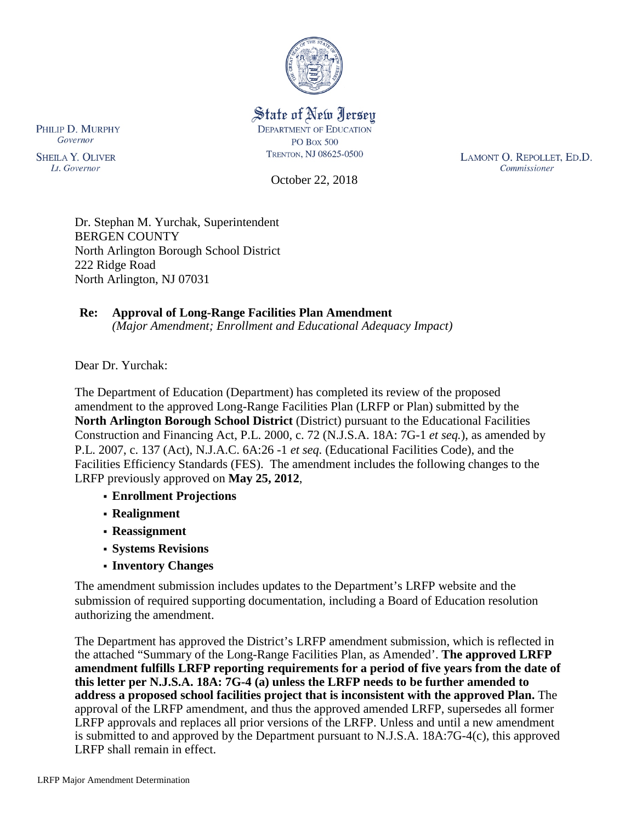

#### State of New Jersey **DEPARTMENT OF EDUCATION PO Box 500** TRENTON, NJ 08625-0500

October 22, 2018

LAMONT O. REPOLLET, ED.D. Commissioner

Dr. Stephan M. Yurchak, Superintendent BERGEN COUNTY North Arlington Borough School District 222 Ridge Road North Arlington, NJ 07031

#### **Re: Approval of Long-Range Facilities Plan Amendment**

*(Major Amendment; Enrollment and Educational Adequacy Impact)*

Dear Dr. Yurchak:

The Department of Education (Department) has completed its review of the proposed amendment to the approved Long-Range Facilities Plan (LRFP or Plan) submitted by the **North Arlington Borough School District** (District) pursuant to the Educational Facilities Construction and Financing Act, P.L. 2000, c. 72 (N.J.S.A. 18A: 7G-1 *et seq.*), as amended by P.L. 2007, c. 137 (Act), N.J.A.C. 6A:26 -1 *et seq.* (Educational Facilities Code), and the Facilities Efficiency Standards (FES). The amendment includes the following changes to the LRFP previously approved on **May 25, 2012**,

- **Enrollment Projections**
- **Realignment**
- **Reassignment**
- **Systems Revisions**
- **Inventory Changes**

The amendment submission includes updates to the Department's LRFP website and the submission of required supporting documentation, including a Board of Education resolution authorizing the amendment.

The Department has approved the District's LRFP amendment submission, which is reflected in the attached "Summary of the Long-Range Facilities Plan, as Amended'. **The approved LRFP amendment fulfills LRFP reporting requirements for a period of five years from the date of this letter per N.J.S.A. 18A: 7G-4 (a) unless the LRFP needs to be further amended to address a proposed school facilities project that is inconsistent with the approved Plan.** The approval of the LRFP amendment, and thus the approved amended LRFP, supersedes all former LRFP approvals and replaces all prior versions of the LRFP. Unless and until a new amendment is submitted to and approved by the Department pursuant to N.J.S.A. 18A:7G-4(c), this approved LRFP shall remain in effect.

PHILIP D. MURPHY Governor

**SHEILA Y. OLIVER** Lt. Governor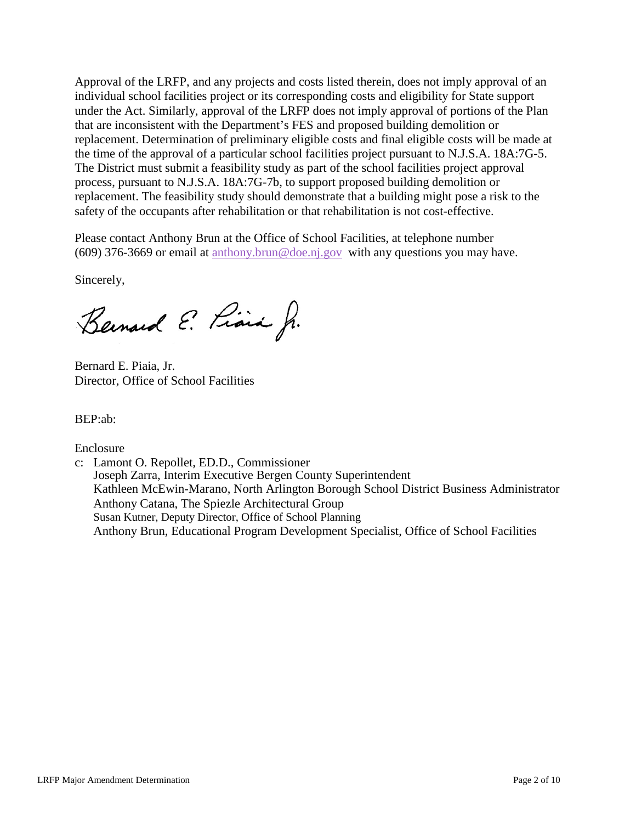Approval of the LRFP, and any projects and costs listed therein, does not imply approval of an individual school facilities project or its corresponding costs and eligibility for State support under the Act. Similarly, approval of the LRFP does not imply approval of portions of the Plan that are inconsistent with the Department's FES and proposed building demolition or replacement. Determination of preliminary eligible costs and final eligible costs will be made at the time of the approval of a particular school facilities project pursuant to N.J.S.A. 18A:7G-5. The District must submit a feasibility study as part of the school facilities project approval process, pursuant to N.J.S.A. 18A:7G-7b, to support proposed building demolition or replacement. The feasibility study should demonstrate that a building might pose a risk to the safety of the occupants after rehabilitation or that rehabilitation is not cost-effective.

Please contact Anthony Brun at the Office of School Facilities, at telephone number (609) 376-3669 or email at [anthony.brun@doe.nj.gov](mailto:anthony.brun@doe.nj.gov) with any questions you may have.

Sincerely,

Bernard E. Piara Jr.

Bernard E. Piaia, Jr. Director, Office of School Facilities

BEP:ab:

Enclosure

c: Lamont O. Repollet, ED.D., Commissioner Joseph Zarra, Interim Executive Bergen County Superintendent Kathleen McEwin-Marano, North Arlington Borough School District Business Administrator Anthony Catana, The Spiezle Architectural Group Susan Kutner, Deputy Director, Office of School Planning Anthony Brun, Educational Program Development Specialist, Office of School Facilities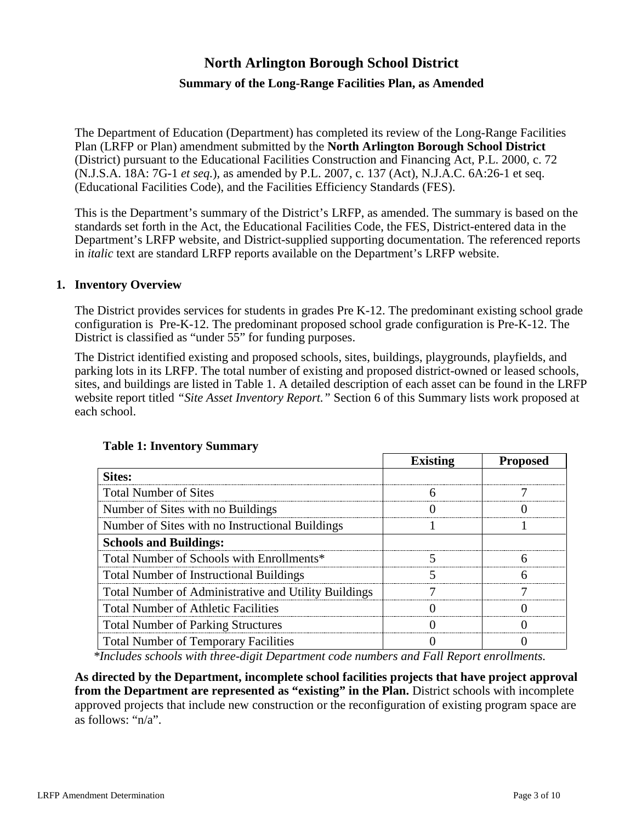# **North Arlington Borough School District**

# **Summary of the Long-Range Facilities Plan, as Amended**

The Department of Education (Department) has completed its review of the Long-Range Facilities Plan (LRFP or Plan) amendment submitted by the **North Arlington Borough School District** (District) pursuant to the Educational Facilities Construction and Financing Act, P.L. 2000, c. 72 (N.J.S.A. 18A: 7G-1 *et seq.*), as amended by P.L. 2007, c. 137 (Act), N.J.A.C. 6A:26-1 et seq. (Educational Facilities Code), and the Facilities Efficiency Standards (FES).

This is the Department's summary of the District's LRFP, as amended. The summary is based on the standards set forth in the Act, the Educational Facilities Code, the FES, District-entered data in the Department's LRFP website, and District-supplied supporting documentation. The referenced reports in *italic* text are standard LRFP reports available on the Department's LRFP website.

#### **1. Inventory Overview**

The District provides services for students in grades Pre K-12. The predominant existing school grade configuration is Pre-K-12. The predominant proposed school grade configuration is Pre-K-12. The District is classified as "under 55" for funding purposes.

The District identified existing and proposed schools, sites, buildings, playgrounds, playfields, and parking lots in its LRFP. The total number of existing and proposed district-owned or leased schools, sites, and buildings are listed in Table 1. A detailed description of each asset can be found in the LRFP website report titled *"Site Asset Inventory Report."* Section 6 of this Summary lists work proposed at each school.

|                                                      | <b>Existing</b> | <b>Proposed</b> |
|------------------------------------------------------|-----------------|-----------------|
| Sites:                                               |                 |                 |
| <b>Total Number of Sites</b>                         |                 |                 |
| Number of Sites with no Buildings                    |                 |                 |
| Number of Sites with no Instructional Buildings      |                 |                 |
| <b>Schools and Buildings:</b>                        |                 |                 |
| Total Number of Schools with Enrollments*            |                 |                 |
| <b>Total Number of Instructional Buildings</b>       |                 |                 |
| Total Number of Administrative and Utility Buildings |                 |                 |
| <b>Total Number of Athletic Facilities</b>           |                 |                 |
| <b>Total Number of Parking Structures</b>            |                 |                 |
| <b>Total Number of Temporary Facilities</b>          |                 |                 |

#### **Table 1: Inventory Summary**

*\*Includes schools with three-digit Department code numbers and Fall Report enrollments.*

**As directed by the Department, incomplete school facilities projects that have project approval from the Department are represented as "existing" in the Plan.** District schools with incomplete approved projects that include new construction or the reconfiguration of existing program space are as follows: "n/a".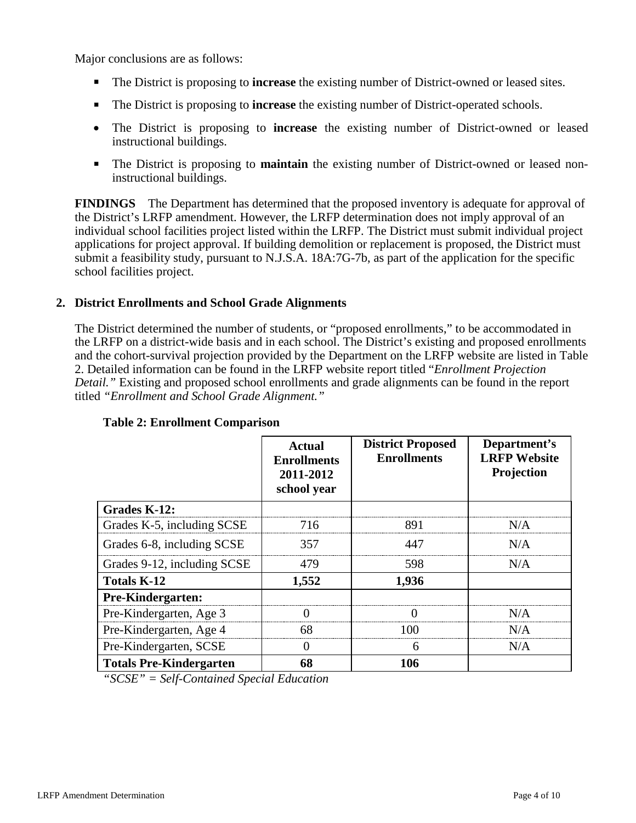Major conclusions are as follows:

- The District is proposing to **increase** the existing number of District-owned or leased sites.
- The District is proposing to **increase** the existing number of District-operated schools.
- The District is proposing to **increase** the existing number of District-owned or leased instructional buildings.
- The District is proposing to **maintain** the existing number of District-owned or leased noninstructional buildings.

**FINDINGS** The Department has determined that the proposed inventory is adequate for approval of the District's LRFP amendment. However, the LRFP determination does not imply approval of an individual school facilities project listed within the LRFP. The District must submit individual project applications for project approval. If building demolition or replacement is proposed, the District must submit a feasibility study, pursuant to N.J.S.A. 18A:7G-7b, as part of the application for the specific school facilities project.

#### **2. District Enrollments and School Grade Alignments**

The District determined the number of students, or "proposed enrollments," to be accommodated in the LRFP on a district-wide basis and in each school. The District's existing and proposed enrollments and the cohort-survival projection provided by the Department on the LRFP website are listed in Table 2. Detailed information can be found in the LRFP website report titled "*Enrollment Projection Detail."* Existing and proposed school enrollments and grade alignments can be found in the report titled *"Enrollment and School Grade Alignment."*

|                                | Actual<br><b>Enrollments</b><br>2011-2012<br>school year | <b>District Proposed</b><br><b>Enrollments</b> | Department's<br><b>LRFP Website</b><br>Projection |
|--------------------------------|----------------------------------------------------------|------------------------------------------------|---------------------------------------------------|
| Grades K-12:                   |                                                          |                                                |                                                   |
| Grades K-5, including SCSE     | 716                                                      | 891                                            | N/A                                               |
| Grades 6-8, including SCSE     | 357                                                      | 447                                            | N/A                                               |
| Grades 9-12, including SCSE    | 479                                                      | 598                                            | N/A                                               |
| <b>Totals K-12</b>             | 1,552                                                    | 1,936                                          |                                                   |
| Pre-Kindergarten:              |                                                          |                                                |                                                   |
| Pre-Kindergarten, Age 3        |                                                          |                                                | N/A                                               |
| Pre-Kindergarten, Age 4        | 68                                                       | 100                                            | N/A                                               |
| Pre-Kindergarten, SCSE         | $\left($                                                 | 6                                              | N/A                                               |
| <b>Totals Pre-Kindergarten</b> | 68                                                       | 106                                            |                                                   |

#### **Table 2: Enrollment Comparison**

*"SCSE" = Self-Contained Special Education*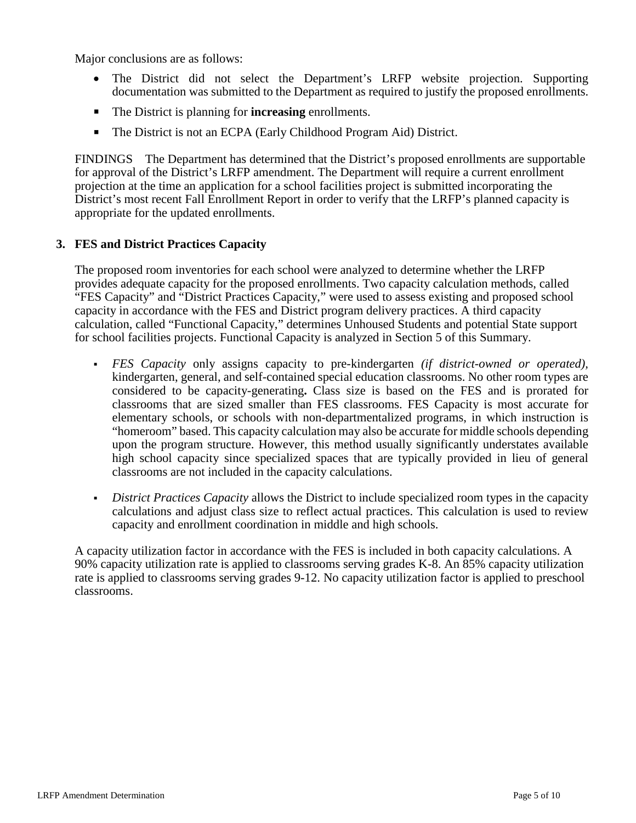Major conclusions are as follows:

- The District did not select the Department's LRFP website projection. Supporting documentation was submitted to the Department as required to justify the proposed enrollments.
- The District is planning for **increasing** enrollments.
- The District is not an ECPA (Early Childhood Program Aid) District.

FINDINGS The Department has determined that the District's proposed enrollments are supportable for approval of the District's LRFP amendment. The Department will require a current enrollment projection at the time an application for a school facilities project is submitted incorporating the District's most recent Fall Enrollment Report in order to verify that the LRFP's planned capacity is appropriate for the updated enrollments.

### **3. FES and District Practices Capacity**

The proposed room inventories for each school were analyzed to determine whether the LRFP provides adequate capacity for the proposed enrollments. Two capacity calculation methods, called "FES Capacity" and "District Practices Capacity," were used to assess existing and proposed school capacity in accordance with the FES and District program delivery practices. A third capacity calculation, called "Functional Capacity," determines Unhoused Students and potential State support for school facilities projects. Functional Capacity is analyzed in Section 5 of this Summary.

- *FES Capacity* only assigns capacity to pre-kindergarten *(if district-owned or operated),* kindergarten, general, and self-contained special education classrooms. No other room types are considered to be capacity-generating**.** Class size is based on the FES and is prorated for classrooms that are sized smaller than FES classrooms. FES Capacity is most accurate for elementary schools, or schools with non-departmentalized programs, in which instruction is "homeroom" based. This capacity calculation may also be accurate for middle schools depending upon the program structure. However, this method usually significantly understates available high school capacity since specialized spaces that are typically provided in lieu of general classrooms are not included in the capacity calculations.
- *District Practices Capacity* allows the District to include specialized room types in the capacity calculations and adjust class size to reflect actual practices. This calculation is used to review capacity and enrollment coordination in middle and high schools.

A capacity utilization factor in accordance with the FES is included in both capacity calculations. A 90% capacity utilization rate is applied to classrooms serving grades K-8. An 85% capacity utilization rate is applied to classrooms serving grades 9-12. No capacity utilization factor is applied to preschool classrooms.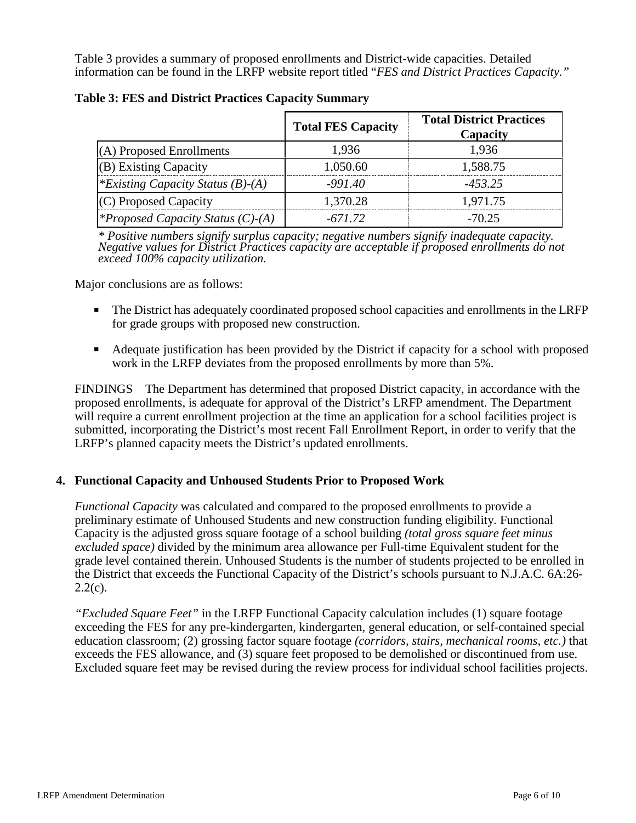Table 3 provides a summary of proposed enrollments and District-wide capacities. Detailed information can be found in the LRFP website report titled "*FES and District Practices Capacity."*

|                                          | <b>Total FES Capacity</b> | <b>Total District Practices</b><br>Capacity |
|------------------------------------------|---------------------------|---------------------------------------------|
| (A) Proposed Enrollments                 | 1,936                     | 1,936                                       |
| $(B)$ Existing Capacity                  | 1,050.60                  | 1,588.75                                    |
| *Existing Capacity Status $(B)$ - $(A)$  | $-991.40$                 | $-453.25$                                   |
| (C) Proposed Capacity                    | 1,370.28                  | 1,971.75                                    |
| <i>*Proposed Capacity Status (C)-(A)</i> | $-671.72$                 | $-70.25$                                    |

**Table 3: FES and District Practices Capacity Summary**

*\* Positive numbers signify surplus capacity; negative numbers signify inadequate capacity. Negative values for District Practices capacity are acceptable if proposed enrollments do not exceed 100% capacity utilization.*

Major conclusions are as follows:

- The District has adequately coordinated proposed school capacities and enrollments in the LRFP for grade groups with proposed new construction.
- Adequate justification has been provided by the District if capacity for a school with proposed work in the LRFP deviates from the proposed enrollments by more than 5%.

FINDINGS The Department has determined that proposed District capacity, in accordance with the proposed enrollments, is adequate for approval of the District's LRFP amendment. The Department will require a current enrollment projection at the time an application for a school facilities project is submitted, incorporating the District's most recent Fall Enrollment Report, in order to verify that the LRFP's planned capacity meets the District's updated enrollments.

#### **4. Functional Capacity and Unhoused Students Prior to Proposed Work**

*Functional Capacity* was calculated and compared to the proposed enrollments to provide a preliminary estimate of Unhoused Students and new construction funding eligibility. Functional Capacity is the adjusted gross square footage of a school building *(total gross square feet minus excluded space)* divided by the minimum area allowance per Full-time Equivalent student for the grade level contained therein. Unhoused Students is the number of students projected to be enrolled in the District that exceeds the Functional Capacity of the District's schools pursuant to N.J.A.C. 6A:26-  $2.2(c)$ .

*"Excluded Square Feet"* in the LRFP Functional Capacity calculation includes (1) square footage exceeding the FES for any pre-kindergarten, kindergarten, general education, or self-contained special education classroom; (2) grossing factor square footage *(corridors, stairs, mechanical rooms, etc.)* that exceeds the FES allowance, and (3) square feet proposed to be demolished or discontinued from use. Excluded square feet may be revised during the review process for individual school facilities projects.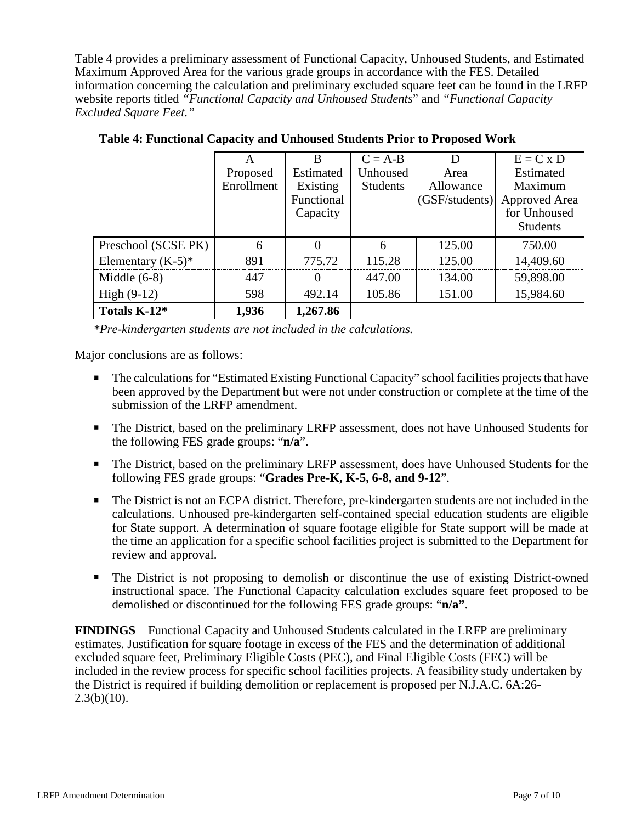Table 4 provides a preliminary assessment of Functional Capacity, Unhoused Students, and Estimated Maximum Approved Area for the various grade groups in accordance with the FES. Detailed information concerning the calculation and preliminary excluded square feet can be found in the LRFP website reports titled *"Functional Capacity and Unhoused Students*" and *"Functional Capacity Excluded Square Feet."*

|                      |            | R          | $C = A-B$       |                | $E = C x D$     |
|----------------------|------------|------------|-----------------|----------------|-----------------|
|                      | Proposed   | Estimated  | Unhoused        | Area           | Estimated       |
|                      | Enrollment | Existing   | <b>Students</b> | Allowance      | Maximum         |
|                      |            | Functional |                 | (GSF/students) | Approved Area   |
|                      |            | Capacity   |                 |                | for Unhoused    |
|                      |            |            |                 |                | <b>Students</b> |
| Preschool (SCSE PK)  |            |            |                 | 125.00         | 750.00          |
| Elementary $(K-5)^*$ | 891        | 775.72     | 115.28          | 125.00         | 14,409.60       |
| Middle $(6-8)$       | 447        | ∩          | 447.00          | 134.00         | 59,898.00       |
| High $(9-12)$        | 598        | 492.14     | 105.86          | 151.00         | 15,984.60       |
| Totals K-12*         | 1,936      | 1,267.86   |                 |                |                 |

**Table 4: Functional Capacity and Unhoused Students Prior to Proposed Work**

*\*Pre-kindergarten students are not included in the calculations.* 

Major conclusions are as follows:

- The calculations for "Estimated Existing Functional Capacity" school facilities projects that have been approved by the Department but were not under construction or complete at the time of the submission of the LRFP amendment.
- The District, based on the preliminary LRFP assessment, does not have Unhoused Students for the following FES grade groups: "**n/a**".
- The District, based on the preliminary LRFP assessment, does have Unhoused Students for the following FES grade groups: "**Grades Pre-K, K-5, 6-8, and 9-12**".
- The District is not an ECPA district. Therefore, pre-kindergarten students are not included in the calculations. Unhoused pre-kindergarten self-contained special education students are eligible for State support. A determination of square footage eligible for State support will be made at the time an application for a specific school facilities project is submitted to the Department for review and approval.
- The District is not proposing to demolish or discontinue the use of existing District-owned instructional space. The Functional Capacity calculation excludes square feet proposed to be demolished or discontinued for the following FES grade groups: "**n/a"**.

**FINDINGS** Functional Capacity and Unhoused Students calculated in the LRFP are preliminary estimates. Justification for square footage in excess of the FES and the determination of additional excluded square feet, Preliminary Eligible Costs (PEC), and Final Eligible Costs (FEC) will be included in the review process for specific school facilities projects. A feasibility study undertaken by the District is required if building demolition or replacement is proposed per N.J.A.C. 6A:26-  $2.3(b)(10)$ .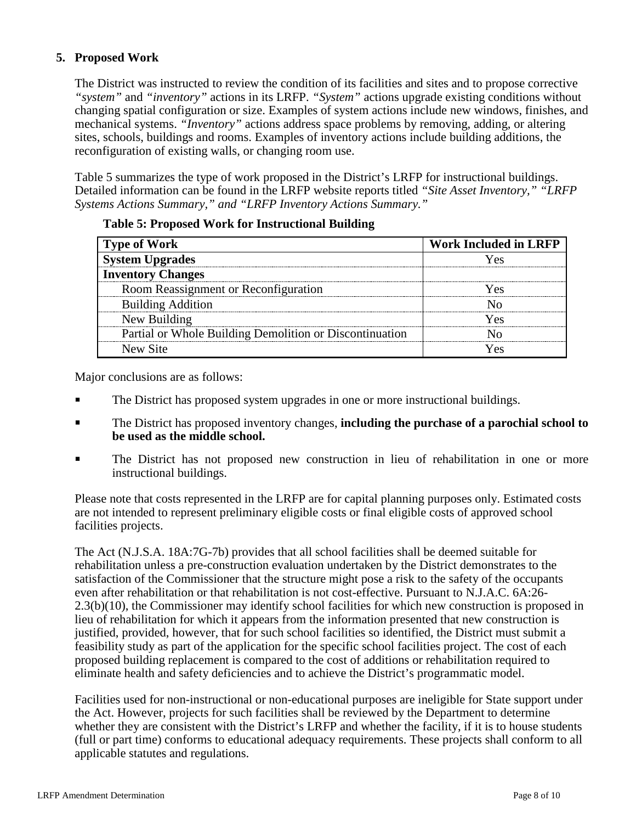# **5. Proposed Work**

The District was instructed to review the condition of its facilities and sites and to propose corrective *"system"* and *"inventory"* actions in its LRFP. *"System"* actions upgrade existing conditions without changing spatial configuration or size. Examples of system actions include new windows, finishes, and mechanical systems. *"Inventory"* actions address space problems by removing, adding, or altering sites, schools, buildings and rooms. Examples of inventory actions include building additions, the reconfiguration of existing walls, or changing room use.

Table 5 summarizes the type of work proposed in the District's LRFP for instructional buildings. Detailed information can be found in the LRFP website reports titled *"Site Asset Inventory," "LRFP Systems Actions Summary," and "LRFP Inventory Actions Summary."* 

| <b>Type of Work</b>                                     | <b>Work Included in LRFP</b> |  |  |
|---------------------------------------------------------|------------------------------|--|--|
| <b>System Upgrades</b>                                  | ۷ - ۸                        |  |  |
| <b>Inventory Changes</b>                                |                              |  |  |
| Room Reassignment or Reconfiguration                    | $\alpha$                     |  |  |
| <b>Building Addition</b>                                |                              |  |  |
| New Building                                            | Yec                          |  |  |
| Partial or Whole Building Demolition or Discontinuation |                              |  |  |
| New Site                                                |                              |  |  |

#### **Table 5: Proposed Work for Instructional Building**

Major conclusions are as follows:

- The District has proposed system upgrades in one or more instructional buildings.
- The District has proposed inventory changes, **including the purchase of a parochial school to be used as the middle school.**
- The District has not proposed new construction in lieu of rehabilitation in one or more instructional buildings.

Please note that costs represented in the LRFP are for capital planning purposes only. Estimated costs are not intended to represent preliminary eligible costs or final eligible costs of approved school facilities projects.

The Act (N.J.S.A. 18A:7G-7b) provides that all school facilities shall be deemed suitable for rehabilitation unless a pre-construction evaluation undertaken by the District demonstrates to the satisfaction of the Commissioner that the structure might pose a risk to the safety of the occupants even after rehabilitation or that rehabilitation is not cost-effective. Pursuant to N.J.A.C. 6A:26- 2.3(b)(10), the Commissioner may identify school facilities for which new construction is proposed in lieu of rehabilitation for which it appears from the information presented that new construction is justified, provided, however, that for such school facilities so identified, the District must submit a feasibility study as part of the application for the specific school facilities project. The cost of each proposed building replacement is compared to the cost of additions or rehabilitation required to eliminate health and safety deficiencies and to achieve the District's programmatic model.

Facilities used for non-instructional or non-educational purposes are ineligible for State support under the Act. However, projects for such facilities shall be reviewed by the Department to determine whether they are consistent with the District's LRFP and whether the facility, if it is to house students (full or part time) conforms to educational adequacy requirements. These projects shall conform to all applicable statutes and regulations.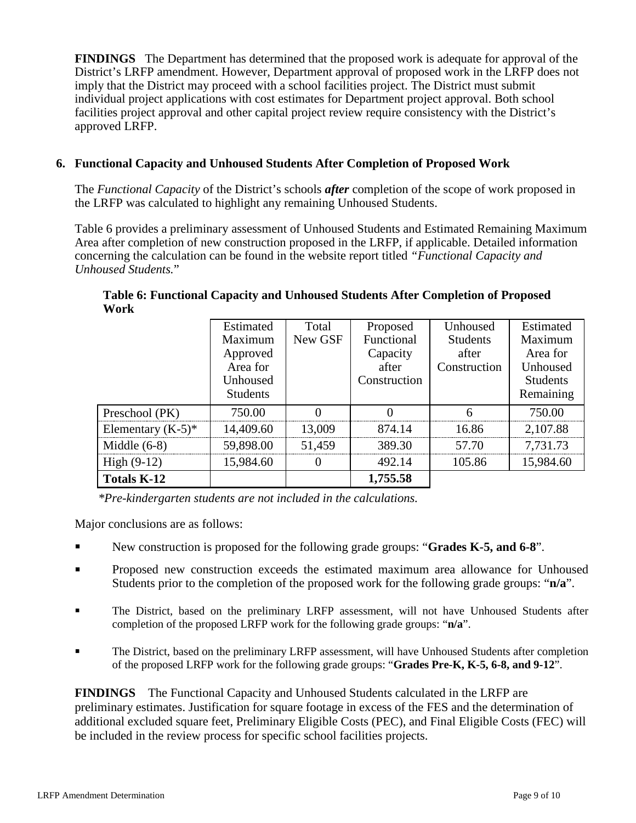**FINDINGS** The Department has determined that the proposed work is adequate for approval of the District's LRFP amendment. However, Department approval of proposed work in the LRFP does not imply that the District may proceed with a school facilities project. The District must submit individual project applications with cost estimates for Department project approval. Both school facilities project approval and other capital project review require consistency with the District's approved LRFP.

## **6. Functional Capacity and Unhoused Students After Completion of Proposed Work**

The *Functional Capacity* of the District's schools *after* completion of the scope of work proposed in the LRFP was calculated to highlight any remaining Unhoused Students.

Table 6 provides a preliminary assessment of Unhoused Students and Estimated Remaining Maximum Area after completion of new construction proposed in the LRFP, if applicable. Detailed information concerning the calculation can be found in the website report titled *"Functional Capacity and Unhoused Students.*"

|                      | Estimated       | Total    | Proposed     | Unhoused        | Estimated       |
|----------------------|-----------------|----------|--------------|-----------------|-----------------|
|                      | Maximum         | New GSF  | Functional   | <b>Students</b> | Maximum         |
|                      | Approved        |          | Capacity     | after           | Area for        |
|                      | Area for        |          | after        | Construction    | Unhoused        |
|                      | Unhoused        |          | Construction |                 | <b>Students</b> |
|                      | <b>Students</b> |          |              |                 | Remaining       |
| Preschool (PK)       | 750.00          |          |              |                 | 750.00          |
| Elementary $(K-5)^*$ | 14,409.60       | 13,009   | 874.14       | 16.86           | 2,107.88        |
| Middle $(6-8)$       | 59,898.00       | 51,459   | 389.30       | 57.70           | 7,731.73        |
| High $(9-12)$        | 15,984.60       | $\theta$ | 492.14       | 105.86          | 15,984.60       |
| <b>Totals K-12</b>   |                 |          | 1,755.58     |                 |                 |

**Table 6: Functional Capacity and Unhoused Students After Completion of Proposed Work**

*\*Pre-kindergarten students are not included in the calculations.*

Major conclusions are as follows:

- New construction is proposed for the following grade groups: "**Grades K-5, and 6-8**".
- Proposed new construction exceeds the estimated maximum area allowance for Unhoused Students prior to the completion of the proposed work for the following grade groups: "**n/a**".
- The District, based on the preliminary LRFP assessment, will not have Unhoused Students after completion of the proposed LRFP work for the following grade groups: "**n/a**".
- The District, based on the preliminary LRFP assessment, will have Unhoused Students after completion of the proposed LRFP work for the following grade groups: "**Grades Pre-K, K-5, 6-8, and 9-12**".

**FINDINGS** The Functional Capacity and Unhoused Students calculated in the LRFP are preliminary estimates. Justification for square footage in excess of the FES and the determination of additional excluded square feet, Preliminary Eligible Costs (PEC), and Final Eligible Costs (FEC) will be included in the review process for specific school facilities projects.